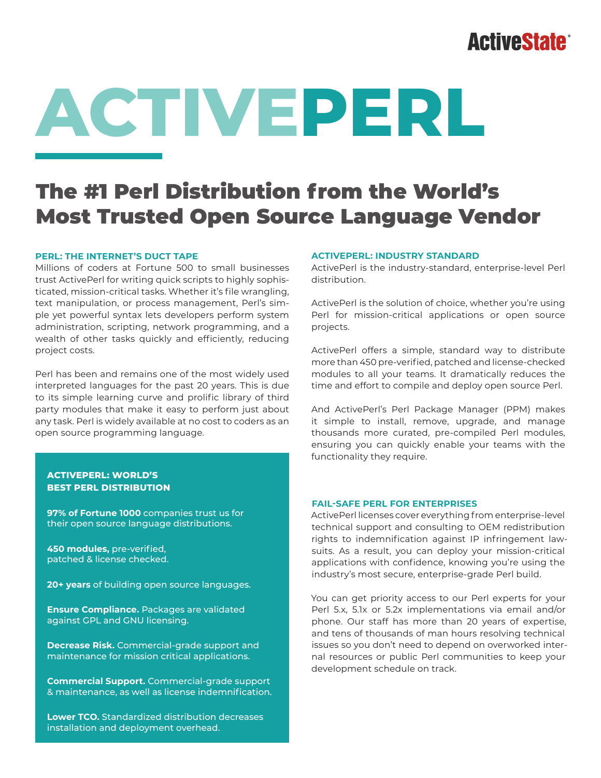## **ActiveState®**

# **ACTIVEPERL**

### The #1 Perl Distribution from the World's Most Trusted Open Source Language Vendor

#### **PERL: THE INTERNET'S DUCT TAPE**

Millions of coders at Fortune 500 to small businesses trust ActivePerl for writing quick scripts to highly sophisticated, mission-critical tasks. Whether it's file wrangling, text manipulation, or process management, Perl's simple yet powerful syntax lets developers perform system administration, scripting, network programming, and a wealth of other tasks quickly and efficiently, reducing project costs.

Perl has been and remains one of the most widely used interpreted languages for the past 20 years. This is due to its simple learning curve and prolific library of third party modules that make it easy to perform just about any task. Perl is widely available at no cost to coders as an open source programming language.

#### **ACTIVEPERL: WORLD'S BEST PERL DISTRIBUTION**

**97% of Fortune 1000** companies trust us for their open source language distributions.

**450 modules,** pre-verified, patched & license checked.

**20+ years** of building open source languages.

**Ensure Compliance.** Packages are validated against GPL and GNU licensing.

**Decrease Risk.** Commercial-grade support and maintenance for mission critical applications.

**Commercial Support.** Commercial-grade support & maintenance, as well as license indemnification.

**Lower TCO.** Standardized distribution decreases installation and deployment overhead.

#### **ACTIVEPERL: INDUSTRY STANDARD**

ActivePerl is the industry-standard, enterprise-level Perl distribution.

ActivePerl is the solution of choice, whether you're using Perl for mission-critical applications or open source projects.

ActivePerl offers a simple, standard way to distribute more than 450 pre-verified, patched and license-checked modules to all your teams. It dramatically reduces the time and effort to compile and deploy open source Perl.

And ActivePerl's Perl Package Manager (PPM) makes it simple to install, remove, upgrade, and manage thousands more curated, pre-compiled Perl modules, ensuring you can quickly enable your teams with the functionality they require.

#### **FAIL-SAFE PERL FOR ENTERPRISES**

ActivePerl licenses cover everything from enterprise-level technical support and consulting to OEM redistribution rights to indemnification against IP infringement lawsuits. As a result, you can deploy your mission-critical applications with confidence, knowing you're using the industry's most secure, enterprise-grade Perl build.

You can get priority access to our Perl experts for your Perl 5.x, 5.1x or 5.2x implementations via email and/or phone. Our staff has more than 20 years of expertise, and tens of thousands of man hours resolving technical issues so you don't need to depend on overworked internal resources or public Perl communities to keep your development schedule on track.